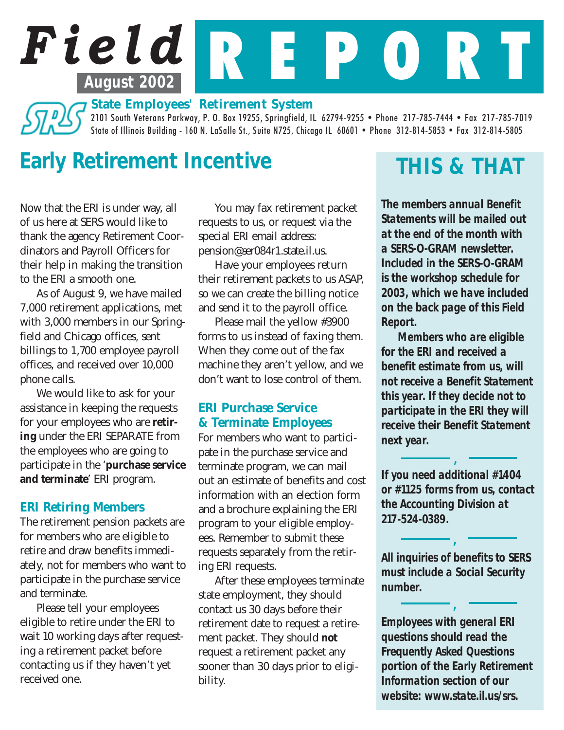# *Field* R E P O R T *<i>State Employees' Retirement System August 2002*

2101 South Veterans Parkway, P. O. Box 19255, Springfield, IL 62794-9255 • Phone 217-785-7444 • Fax 217-785-7019 State of Illinois Building - 160 N. LaSalle St., Suite N725, Chicago IL 60601 • Phone 312-814-5853 • Fax 312-814-5805

### *Early Retirement Incentive*

Now that the ERI is under way, all of us here at SERS would like to thank the agency Retirement Coordinators and Payroll Officers for their help in making the transition to the ERI a smooth one.

As of August 9, we have mailed 7,000 retirement applications, met with 3,000 members in our Springfield and Chicago offices, sent billings to 1,700 employee payroll offices, and received over 10,000 phone calls.

We would like to ask for your assistance in keeping the requests for your employees who are *retiring* under the ERI SEPARATE from the employees who are going to participate in the '*purchase service and terminate*' ERI program.

#### *ERI Retiring Members*

The retirement pension packets are for members who are eligible to retire and draw benefits immediately, not for members who want to participate in the purchase service and terminate.

Please tell your employees eligible to retire under the ERI to wait 10 working days after requesting a retirement packet before contacting us if they haven't yet received one.

You may fax retirement packet requests to us, or request via the special ERI email address: pension@ser084r1.state.il.us.

Have your employees return their retirement packets to us ASAP, so we can create the billing notice and send it to the payroll office.

Please mail the yellow #3900 forms to us instead of faxing them. When they come out of the fax machine they aren't yellow, and we don't want to lose control of them.

### *ERI Purchase Service & Terminate Employees*

For members who want to participate in the purchase service and terminate program, we can mail out an estimate of benefits and cost information with an election form and a brochure explaining the ERI program to your eligible employees. Remember to submit these requests separately from the retiring ERI requests.

After these employees terminate state employment, they should contact us 30 days before their retirement date to request a retirement packet. They should *not* request a retirement packet any sooner than 30 days prior to eligibility.

## *THIS & THAT*

*The members annual Benefit Statements will be mailed out at the end of the month with a SERS-O-GRAM newsletter. Included in the SERS-O-GRAM is the workshop schedule for 2003, which we have included on the back page of this Field Report.*

*Members who are eligible for the ERI and received a benefit estimate from us, will not receive a Benefit Statement this year. If they decide not to participate in the ERI they will receive their Benefit Statement next year.*

*If you need additional #1404 or #1125 forms from us, contact the Accounting Division at 217-524-0389.*

 $-$  (2)  $-$ 

 $-$  (2) -

*All inquiries of benefits to SERS must include a Social Security number.*

 $-$  (2) —

*Employees with general ERI questions should read the Frequently Asked Questions portion of the Early Retirement Information section of our website: www.state.il.us/srs.*